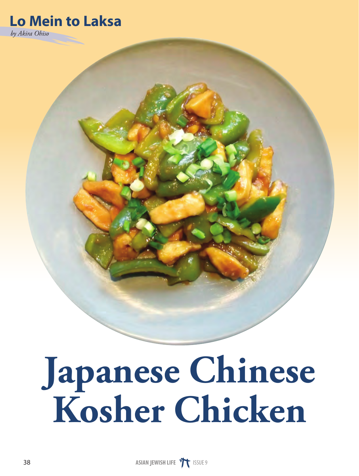## **Lo Mein to Laksa** *by Akira Ohiso*

## **Japanese Chinese Kosher Chicken**